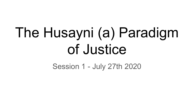# The Husayni (a) Paradigm of Justice

Session 1 - July 27th 2020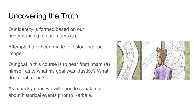# Uncovering the Truth

Our identity is formed based on our understanding of our Imams (a)

Attempts have been made to distort the true image.

Our goal in this course is to hear from Imam (a) himself as to what his goal was. Justice? What does that mean?

As a background we will need to speak a bit about historical events prior to Karbala.

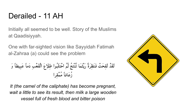# Derailed - 11 AH

Initially all seemed to be well. Story of the Muslims at Qaadisiyyah.

One with far-sighted vision like Sayyidah Fatimah al-Zahraa (a) could see the problem

لَقَدٌ لَقِحَتٌ فَنَظِرَةُ رَيُّتَما تُنُتَجُ تُمَّ احُتَلَبُوا طِلَّحَ الَقَعُبِ دَماً عَبِيطاً وَ
$$
\hat{\mathbf{u}}
$$

*It (the camel of the caliphate) has become pregnant, wait a little to see its result, then milk a large wooden vessel full of fresh blood and bitter poison*

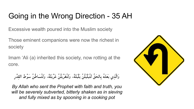# Going in the Wrong Direction - 35 AH

Excessive wealth poured into the Muslim society

Those eminent companions were now the richest in society

Imam 'Ali (a) inherited this society, now rotting at the core.

وَالَّذِي بَعَثَهُ بِالحَقِّ لَتُبَلْبَلُنَّ بَلْبَلَةً، وَلَتُغَرْبَلُنَّ غَرْبِلَةً، وَلَتُسَاطُنَّ سَوْطَ القدْرِ

*By Allah who sent the Prophet with faith and truth, you will be severely subverted, bitterly shaken as in sieving and fully mixed as by spooning in a cooking pot*

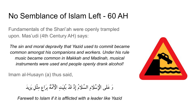## No Semblance of Islam Left - 60 AH

Fundamentals of the Shari'ah were openly trampled upon. Mas'udi (4th Century AH) says:

*The sin and moral depravity that Yazid used to commit became common amongst his companions and workers. Under his rule music became common in Makkah and Madinah, musical instruments were used and people openly drank alcohol!*

Imam al-Husayn (a) thus said,

وَ عَلَى الْإِسْلَامِ السَّلَامُ إِذْ قَدْ بُلِيَتِ الْأُمَّةُ بِرَاعٍ مِثْلِ يَزِيدَ

*Farewell to Islam if it is afflicted with a leader like Yazid*

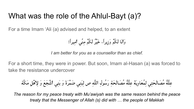# What was the role of the Ahlul-Bayt (a)?

For a time Imam 'Ali (a) advised and helped, to an extent

وَأَنَا لَكُمْ وَزِˡرا،ً خَɫْرٌ لَكُمْ مِنِّي أَمِɫراً!

*I am better for you as a counsellor than as chief.*

For a short time, they were in power. But soon, Imam al-Hasan (a) was forced to take the resistance undercover

عِلَّةُ مُصَ الَحَتِي لِمُعَاوِˡَةَ عِلَّةُ مُصَ الَحَةِ رَسُولِ اللَّهِ ص لِبَنِي ضَ مْرَةَ وَ بَنِي أَشْجَعَ وَ لِНَٔهْلِ مَكَّة

*The reason for my peace treaty with Mu'awiyah was the same reason behind the peace treaty that the Messenger of Allah (s) did with … the people of Makkah*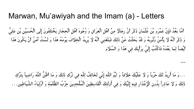#### Marwan, Mu'awiyah and the Imam (a) - Letters

أَمَّا بَعْدُ فَإِنَّ عَمْرَو بْنَ عُثْمَانَ ذَكَرَ أَنَّ رِجَالًا مِنْ أَهْلِ الْعِرَاقِ وَ وُجُوهَ أَهْلِ الْحِجَازِ يَخْتَلِفُونَ إِلَى الْحُسَيْنِ بْنِ عَلِيٍّ وَ ذَكَرَ أَنَّهُ لَا يَأْمَنُ وُثُوبَهُ وَ قَدْ بَحَثْتُ عَنْ ذَلِكَ فَبَلَغَنِي أَنَّهُ لَا يُرِيدُ الْخِلَافَ يَوْمَهُ هَذَا وَ لَسْتُ آمَنُ أَنْ يَكُونَ هَذَا أَيْضاً لِمَا بَعْدَهُ فَاكْتُبْ إِلَيَّ بِرَأْيِكَ فِي هَذَا وَ السَّلَام

...وَ مَا أُرِيدُ لَكَ حَرْباً وَ لَا عَلَيْكَ خِلَافاً وَ ايْمُ اللَّهِ إِنِّي لَخَائِفٌ لِلَّهِ فِي تَرْكِ ذَلِكَ وَ مَا أَظُنُّ اللَّهَ رَاضِياً بِتَرْكِ ذَلِكَ وَ لَا عَاذِراً بِدُونِ الْإِعْذَارِ فِيهِ إِلَيْكَ وَ فِي أُولَئِكَ الْقَاسِطِينَ الْمُلْحِدِينَ حِزْبُ الظَّلَمَةِ وَ أَوْلِيَاءُ الشَّيَاطِين . . .

---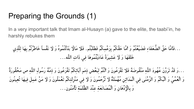### Preparing the Grounds (1)

In a very important talk that Imam al-Husayn (a) gave to the elite, the taabi'in, he harshly rebukes them

...فَأَمَّا حَقَّ الضُّ عَفَاءِ فَضَ ɫَّعْتُمْ وَ أَمَّا حَقَّكُمْ بِزَعْمِكُمْ فَطَلَبْتُم . فَТَا مَالًН بَذَلْتُمُوهُ وَ لَН نَفْساً خَاطَرْ تُمْ بِهَا لِلَّذِ ي خَلَقَهَا وَ لَН عَشِ ɫرَةً عَادَˡْتُمُوهَا فِي ذَاتِ اللَّه ...

...وَ قَدْ تَرَوْنَ عُهُودَ اللَّه مَنْقُوضَةً فَلَا تَفْزَعُونَ وَ أَنْتُمْ لِبَعْضِ ذِمَمِ آبَائِكُمْ تَفْزَعُونَ وَ ذِمَّةُ رَسُولِ اللَّهِ ص مَحْقُورَةٌ وَ الْعُمْيُ وَ الْبُكْمُ وَ الزَّمْنَى فِي الْمَدَائِنِ مُهْمَلَةٌ لَا تُرْحَمُونَ وَ لَا فِي مَنْزِلَتِكُمْ تَعْمَلُونَ وَ لَا مَنْ عَمِلَ فِيهَا تُعِينُونَ وَ بِالْإِِدْهَانِ وَ الْمُصَانَعَةِ عِنْدَ الظَّلَمَةِ تَأْمَنُون...